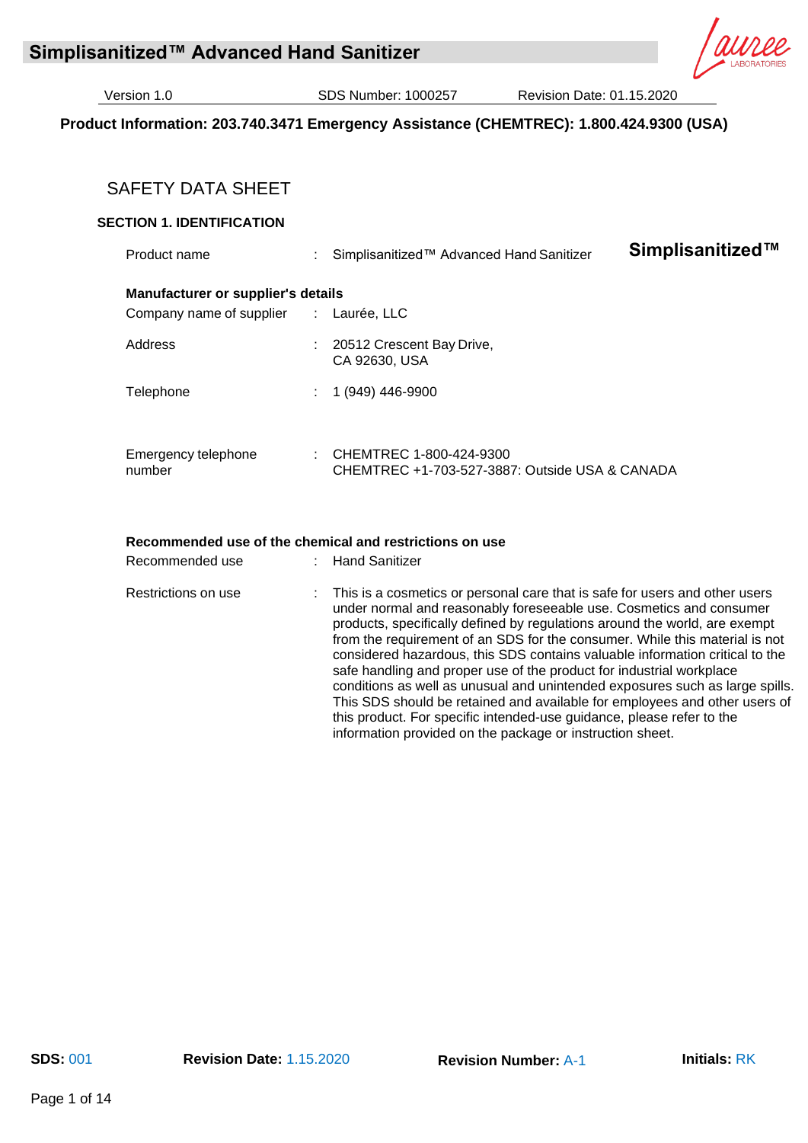# **Product Information: 203.740.3471 Emergency Assistance (CHEMTREC): 1.800.424.9300 (USA)**

# SAFETY DATA SHEET

# **SECTION 1. IDENTIFICATION**

| Product name                                                   | Simplisanitized™ Advanced Hand Sanitizer                                  | Simplisanitized™ |
|----------------------------------------------------------------|---------------------------------------------------------------------------|------------------|
| Manufacturer or supplier's details<br>Company name of supplier | : Laurée, LLC                                                             |                  |
| Address                                                        | 20512 Crescent Bay Drive,<br>CA 92630, USA                                |                  |
| Telephone                                                      | 1 (949) 446-9900                                                          |                  |
| Emergency telephone<br>number                                  | CHEMTREC 1-800-424-9300<br>CHEMTREC +1-703-527-3887: Outside USA & CANADA |                  |

#### **Recommended use of the chemical and restrictions on use**

| Recommended use     | Hand Sanitizer                                                                                                                                                                                                                                                                                                                                                                                                                                                                                                                                                                                                                                                                                                                                                                |
|---------------------|-------------------------------------------------------------------------------------------------------------------------------------------------------------------------------------------------------------------------------------------------------------------------------------------------------------------------------------------------------------------------------------------------------------------------------------------------------------------------------------------------------------------------------------------------------------------------------------------------------------------------------------------------------------------------------------------------------------------------------------------------------------------------------|
| Restrictions on use | : This is a cosmetics or personal care that is safe for users and other users<br>under normal and reasonably foreseeable use. Cosmetics and consumer<br>products, specifically defined by regulations around the world, are exempt<br>from the requirement of an SDS for the consumer. While this material is not<br>considered hazardous, this SDS contains valuable information critical to the<br>safe handling and proper use of the product for industrial workplace<br>conditions as well as unusual and unintended exposures such as large spills.<br>This SDS should be retained and available for employees and other users of<br>this product. For specific intended-use guidance, please refer to the<br>information provided on the package or instruction sheet. |
|                     |                                                                                                                                                                                                                                                                                                                                                                                                                                                                                                                                                                                                                                                                                                                                                                               |

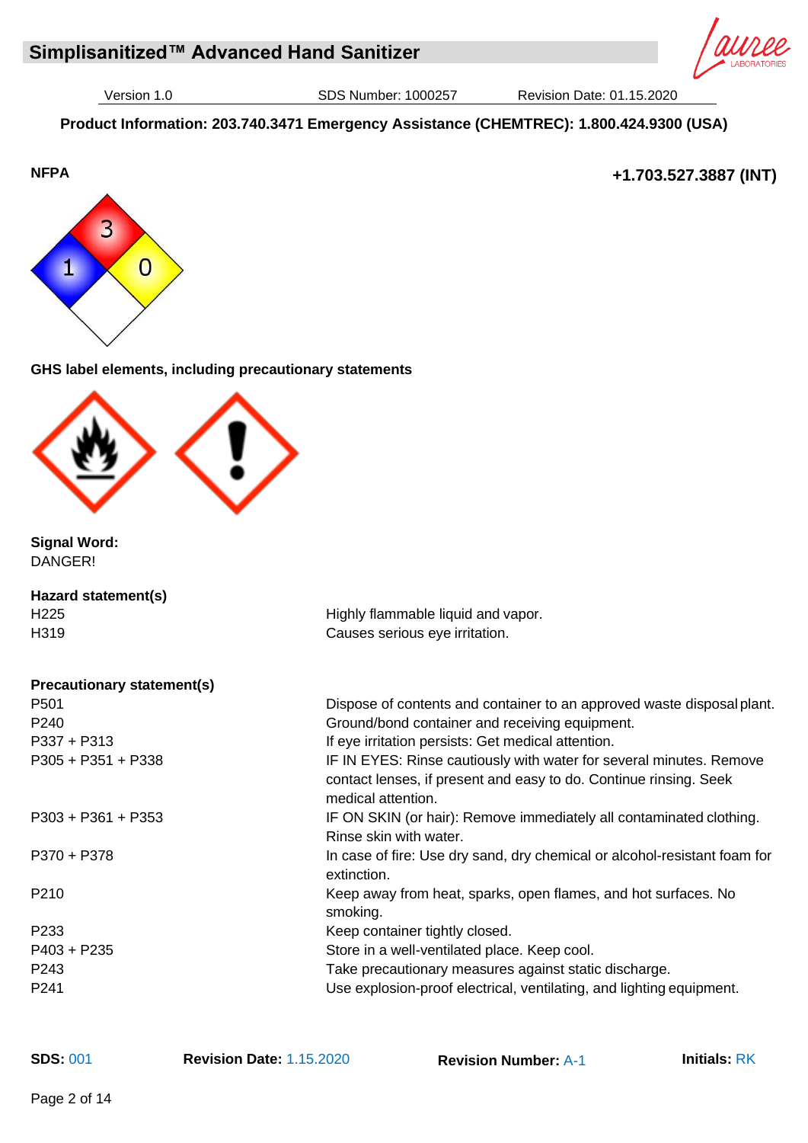**Product Information: 203.740.3471 Emergency Assistance (CHEMTREC): 1.800.424.9300 (USA)**



**+1.703.527.3887 (INT)**



# **GHS label elements, including precautionary statements**



**Signal Word:** DANGER!

| Hazard statement(s) |  |
|---------------------|--|
| H <sub>225</sub>    |  |
| H <sub>3</sub> 19   |  |
|                     |  |

**Precautionary statement(s)** P501 Dispose of contents and container to an approved waste disposal plant. P240 Ground/bond container and receiving equipment. P337 + P313 **If eye irritation persists: Get medical attention.** P305 + P351 + P338 **IF IN EYES: Rinse cautiously with water for several minutes. Remove** contact lenses, if present and easy to do. Continue rinsing. Seek medical attention. P303 + P361 + P353 IF ON SKIN (or hair): Remove immediately all contaminated clothing. Rinse skin with water. P370 + P378 In case of fire: Use dry sand, dry chemical or alcohol-resistant foam for extinction. P210 Keep away from heat, sparks, open flames, and hot surfaces. No smoking. P233 Keep container tightly closed. P403 + P235 Store in a well-ventilated place. Keep cool. P243 Take precautionary measures against static discharge. P241 Use explosion-proof electrical, ventilating, and lighting equipment.

Highly flammable liquid and vapor. Causes serious eye irritation.

**SDS:** 001 **Revision Date:** 1.15.2020 **Revision Number:** A-1 **Initials:** RK

Page 2 of 14

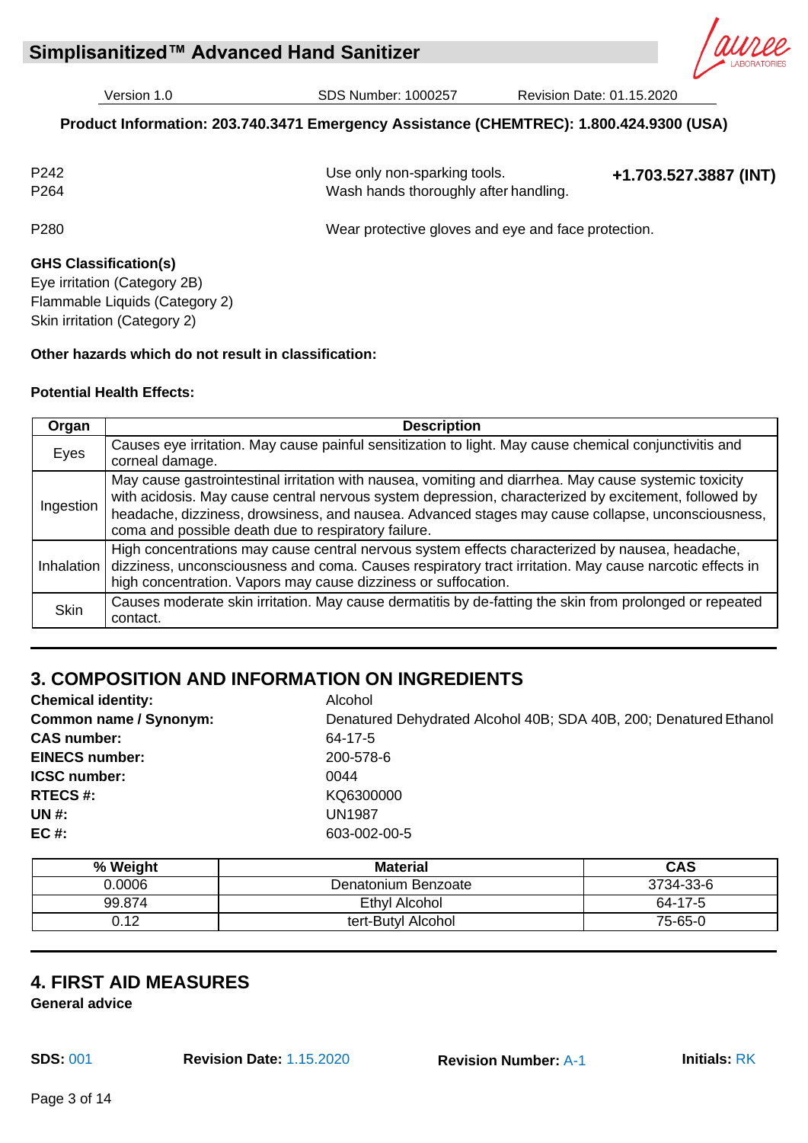**Simplisanitized™ Advanced Hand Sanitizer** 

Version 1.0 SDS Number: 1000257 Revision Date: 01.15.2020

# **Product Information: 203.740.3471 Emergency Assistance (CHEMTREC): 1.800.424.9300 (USA)**

| P <sub>242</sub><br>P <sub>264</sub> | Use only non-sparking tools.<br>Wash hands thoroughly after handling. | +1.703.527.3887 (INT) |
|--------------------------------------|-----------------------------------------------------------------------|-----------------------|
| P <sub>280</sub>                     | Wear protective gloves and eye and face protection.                   |                       |

# **GHS Classification(s)**

Eye irritation (Category 2B) Flammable Liquids (Category 2) Skin irritation (Category 2)

# **Other hazards which do not result in classification:**

#### **Potential Health Effects:**

| Organ       | <b>Description</b>                                                                                                                                                                                                                                                                                                                                                        |
|-------------|---------------------------------------------------------------------------------------------------------------------------------------------------------------------------------------------------------------------------------------------------------------------------------------------------------------------------------------------------------------------------|
| Eyes        | Causes eye irritation. May cause painful sensitization to light. May cause chemical conjunctivitis and<br>corneal damage.                                                                                                                                                                                                                                                 |
| Ingestion   | May cause gastrointestinal irritation with nausea, vomiting and diarrhea. May cause systemic toxicity<br>with acidosis. May cause central nervous system depression, characterized by excitement, followed by<br>headache, dizziness, drowsiness, and nausea. Advanced stages may cause collapse, unconsciousness,<br>coma and possible death due to respiratory failure. |
| Inhalation  | High concentrations may cause central nervous system effects characterized by nausea, headache,<br>dizziness, unconsciousness and coma. Causes respiratory tract irritation. May cause narcotic effects in<br>high concentration. Vapors may cause dizziness or suffocation.                                                                                              |
| <b>Skin</b> | Causes moderate skin irritation. May cause dermatitis by de-fatting the skin from prolonged or repeated<br>contact.                                                                                                                                                                                                                                                       |

# **3. COMPOSITION AND INFORMATION ON INGREDIENTS**

| <b>Chemical identity:</b>     | Alcohol                                                           |
|-------------------------------|-------------------------------------------------------------------|
| <b>Common name / Synonym:</b> | Denatured Dehydrated Alcohol 40B; SDA 40B, 200; Denatured Ethanol |
| <b>CAS number:</b>            | 64-17-5                                                           |
| <b>EINECS number:</b>         | 200-578-6                                                         |
| <b>ICSC number:</b>           | 0044                                                              |
| <b>RTECS#:</b>                | KQ6300000                                                         |
| <b>UN#:</b>                   | <b>UN1987</b>                                                     |
| $EC#$ :                       | 603-002-00-5                                                      |
|                               |                                                                   |

| % Weight | <b>Material</b>     | <b>CAS</b> |
|----------|---------------------|------------|
| 0.0006   | Denatonium Benzoate | 3734-33-6  |
| 99.874   | Ethyl Alcohol       | 64-17-5    |
| 0.12     | tert-Butyl Alcohol  | 75-65-0    |

# **4. FIRST AID MEASURES**

**General advice**

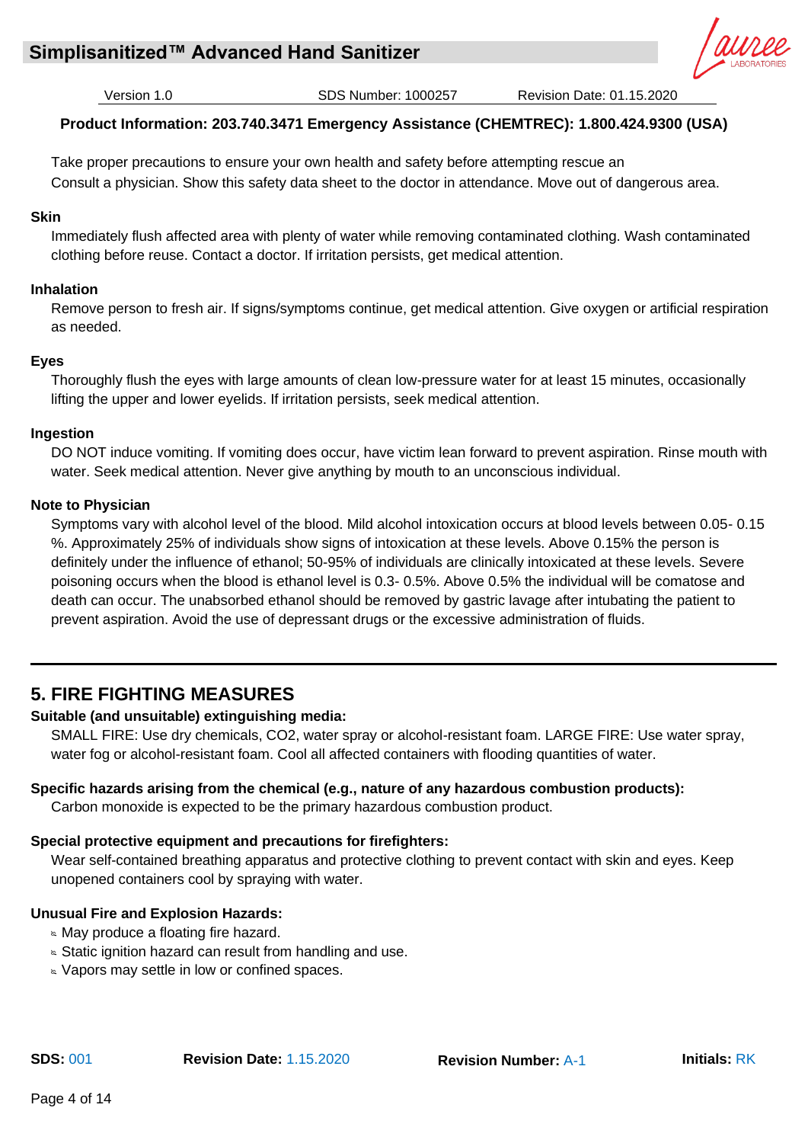

# **Product Information: 203.740.3471 Emergency Assistance (CHEMTREC): 1.800.424.9300 (USA)**

Take proper precautions to ensure your own health and safety before attempting rescue an Consult a physician. Show this safety data sheet to the doctor in attendance. Move out of dangerous area.

# **Skin**

Immediately flush affected area with plenty of water while removing contaminated clothing. Wash contaminated clothing before reuse. Contact a doctor. If irritation persists, get medical attention.

# **Inhalation**

Remove person to fresh air. If signs/symptoms continue, get medical attention. Give oxygen or artificial respiration as needed.

# **Eyes**

Thoroughly flush the eyes with large amounts of clean low-pressure water for at least 15 minutes, occasionally lifting the upper and lower eyelids. If irritation persists, seek medical attention.

# **Ingestion**

DO NOT induce vomiting. If vomiting does occur, have victim lean forward to prevent aspiration. Rinse mouth with water. Seek medical attention. Never give anything by mouth to an unconscious individual.

# **Note to Physician**

Symptoms vary with alcohol level of the blood. Mild alcohol intoxication occurs at blood levels between 0.05- 0.15 %. Approximately 25% of individuals show signs of intoxication at these levels. Above 0.15% the person is definitely under the influence of ethanol; 50-95% of individuals are clinically intoxicated at these levels. Severe poisoning occurs when the blood is ethanol level is 0.3- 0.5%. Above 0.5% the individual will be comatose and death can occur. The unabsorbed ethanol should be removed by gastric lavage after intubating the patient to prevent aspiration. Avoid the use of depressant drugs or the excessive administration of fluids.

# **5. FIRE FIGHTING MEASURES**

# **Suitable (and unsuitable) extinguishing media:**

SMALL FIRE: Use dry chemicals, CO2, water spray or alcohol-resistant foam. LARGE FIRE: Use water spray, water fog or alcohol-resistant foam. Cool all affected containers with flooding quantities of water.

# **Specific hazards arising from the chemical (e.g., nature of any hazardous combustion products):**

Carbon monoxide is expected to be the primary hazardous combustion product.

# **Special protective equipment and precautions for firefighters:**

Wear self-contained breathing apparatus and protective clothing to prevent contact with skin and eyes. Keep unopened containers cool by spraying with water.

# **Unusual Fire and Explosion Hazards:**

- **May produce a floating fire hazard.**
- Static ignition hazard can result from handling and use.
- **No. Vapors may settle in low or confined spaces.**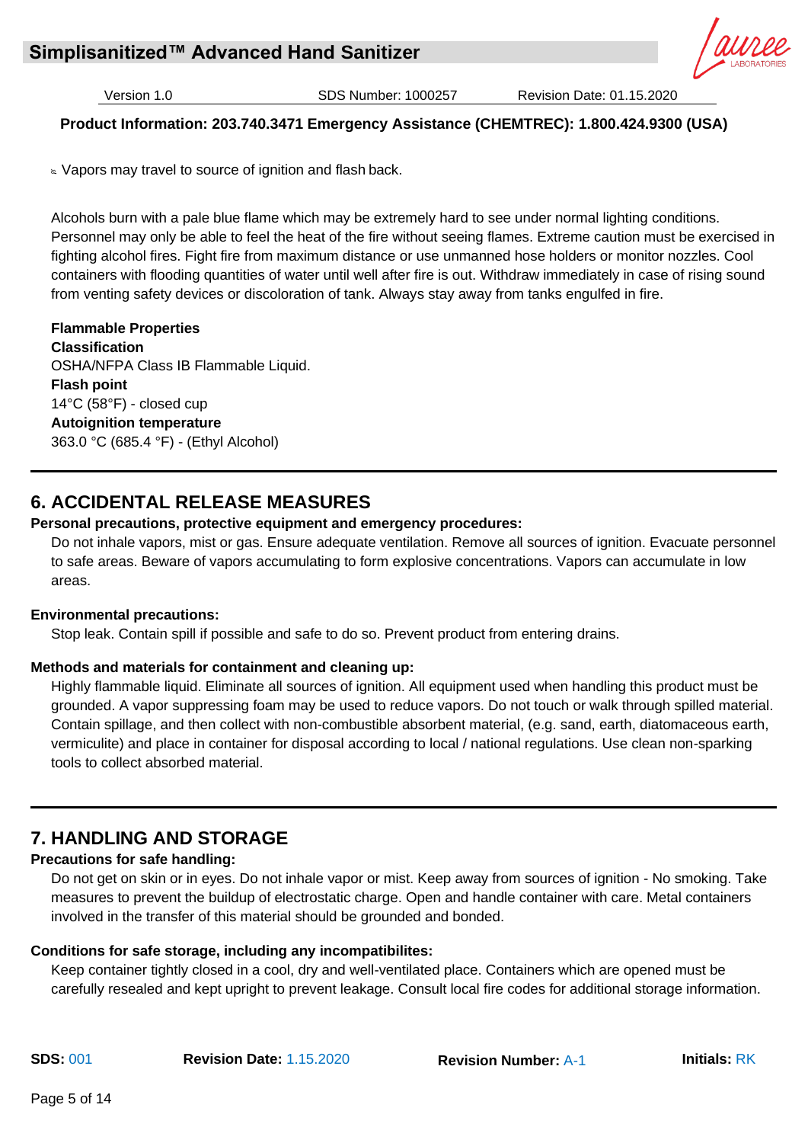

# **Product Information: 203.740.3471 Emergency Assistance (CHEMTREC): 1.800.424.9300 (USA)**

**Now 10 and 5 and 5 and 7 and 7 and 7 and 7 and 7 and 7 and 7 and 7 and 7 and 7 and 7 and 7 and 7 and 7 and 7 and 7 and 7 and 7 and 7 and 7 and 7 and 7 and 7 and 7 and 7 and 7 and 7 and 7 and 7 and 7 and 7 and 7 and 7 and** 

Alcohols burn with a pale blue flame which may be extremely hard to see under normal lighting conditions. Personnel may only be able to feel the heat of the fire without seeing flames. Extreme caution must be exercised in fighting alcohol fires. Fight fire from maximum distance or use unmanned hose holders or monitor nozzles. Cool containers with flooding quantities of water until well after fire is out. Withdraw immediately in case of rising sound from venting safety devices or discoloration of tank. Always stay away from tanks engulfed in fire.

**Flammable Properties Classification** OSHA/NFPA Class IB Flammable Liquid. **Flash point** 14°C (58°F) - closed cup **Autoignition temperature** 363.0 °C (685.4 °F) - (Ethyl Alcohol)

# **6. ACCIDENTAL RELEASE MEASURES**

# **Personal precautions, protective equipment and emergency procedures:**

Do not inhale vapors, mist or gas. Ensure adequate ventilation. Remove all sources of ignition. Evacuate personnel to safe areas. Beware of vapors accumulating to form explosive concentrations. Vapors can accumulate in low areas.

#### **Environmental precautions:**

Stop leak. Contain spill if possible and safe to do so. Prevent product from entering drains.

# **Methods and materials for containment and cleaning up:**

Highly flammable liquid. Eliminate all sources of ignition. All equipment used when handling this product must be grounded. A vapor suppressing foam may be used to reduce vapors. Do not touch or walk through spilled material. Contain spillage, and then collect with non-combustible absorbent material, (e.g. sand, earth, diatomaceous earth, vermiculite) and place in container for disposal according to local / national regulations. Use clean non-sparking tools to collect absorbed material.

# **7. HANDLING AND STORAGE**

# **Precautions for safe handling:**

Do not get on skin or in eyes. Do not inhale vapor or mist. Keep away from sources of ignition - No smoking. Take measures to prevent the buildup of electrostatic charge. Open and handle container with care. Metal containers involved in the transfer of this material should be grounded and bonded.

# **Conditions for safe storage, including any incompatibilites:**

Keep container tightly closed in a cool, dry and well-ventilated place. Containers which are opened must be carefully resealed and kept upright to prevent leakage. Consult local fire codes for additional storage information.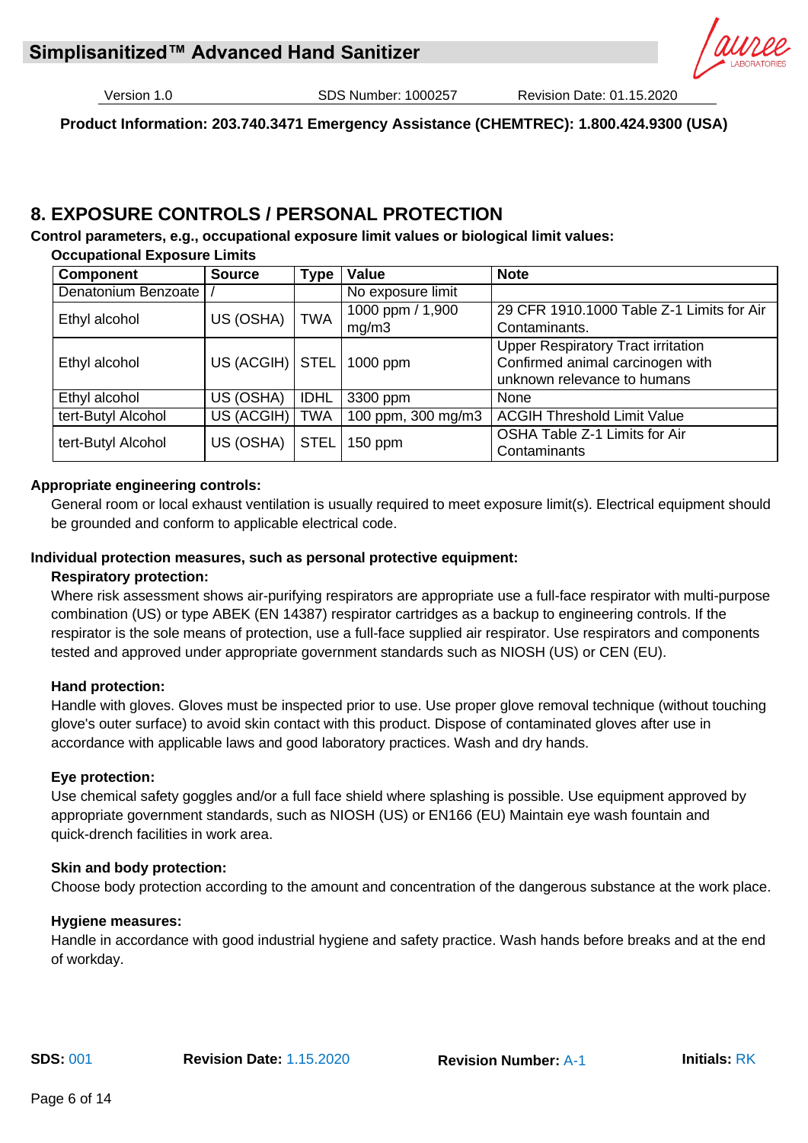# **Simplisanitized™ Advanced Hand Sanitizer**

Version 1.0 SDS Number: 1000257 Revision Date: 01.15.2020

**Product Information: 203.740.3471 Emergency Assistance (CHEMTREC): 1.800.424.9300 (USA)**

# **8. EXPOSURE CONTROLS / PERSONAL PROTECTION**

**Control parameters, e.g., occupational exposure limit values or biological limit values: Occupational Exposure Limits**

| <b>Component</b>    | <b>Source</b>     | <b>Type</b> | Value              | <b>Note</b>                                                                                                  |  |
|---------------------|-------------------|-------------|--------------------|--------------------------------------------------------------------------------------------------------------|--|
| Denatonium Benzoate |                   |             | No exposure limit  |                                                                                                              |  |
| Ethyl alcohol       | US (OSHA)         | <b>TWA</b>  | 1000 ppm / 1,900   | 29 CFR 1910.1000 Table Z-1 Limits for Air                                                                    |  |
|                     |                   |             | mg/m3              | Contaminants.                                                                                                |  |
| Ethyl alcohol       | US (ACGIH)   STEL |             | 1000 ppm           | <b>Upper Respiratory Tract irritation</b><br>Confirmed animal carcinogen with<br>unknown relevance to humans |  |
| Ethyl alcohol       | US (OSHA)         | <b>IDHL</b> | 3300 ppm           | <b>None</b>                                                                                                  |  |
| tert-Butyl Alcohol  | US (ACGIH)        | <b>TWA</b>  | 100 ppm, 300 mg/m3 | <b>ACGIH Threshold Limit Value</b>                                                                           |  |
| tert-Butyl Alcohol  | US (OSHA)         | STEL        | $150$ ppm          | OSHA Table Z-1 Limits for Air<br>Contaminants                                                                |  |

# **Appropriate engineering controls:**

General room or local exhaust ventilation is usually required to meet exposure limit(s). Electrical equipment should be grounded and conform to applicable electrical code.

#### **Individual protection measures, such as personal protective equipment:**

#### **Respiratory protection:**

Where risk assessment shows air-purifying respirators are appropriate use a full-face respirator with multi-purpose combination (US) or type ABEK (EN 14387) respirator cartridges as a backup to engineering controls. If the respirator is the sole means of protection, use a full-face supplied air respirator. Use respirators and components tested and approved under appropriate government standards such as NIOSH (US) or CEN (EU).

#### **Hand protection:**

Handle with gloves. Gloves must be inspected prior to use. Use proper glove removal technique (without touching glove's outer surface) to avoid skin contact with this product. Dispose of contaminated gloves after use in accordance with applicable laws and good laboratory practices. Wash and dry hands.

#### **Eye protection:**

Use chemical safety goggles and/or a full face shield where splashing is possible. Use equipment approved by appropriate government standards, such as NIOSH (US) or EN166 (EU) Maintain eye wash fountain and quick-drench facilities in work area.

#### **Skin and body protection:**

Choose body protection according to the amount and concentration of the dangerous substance at the work place.

#### **Hygiene measures:**

Handle in accordance with good industrial hygiene and safety practice. Wash hands before breaks and at the end of workday.

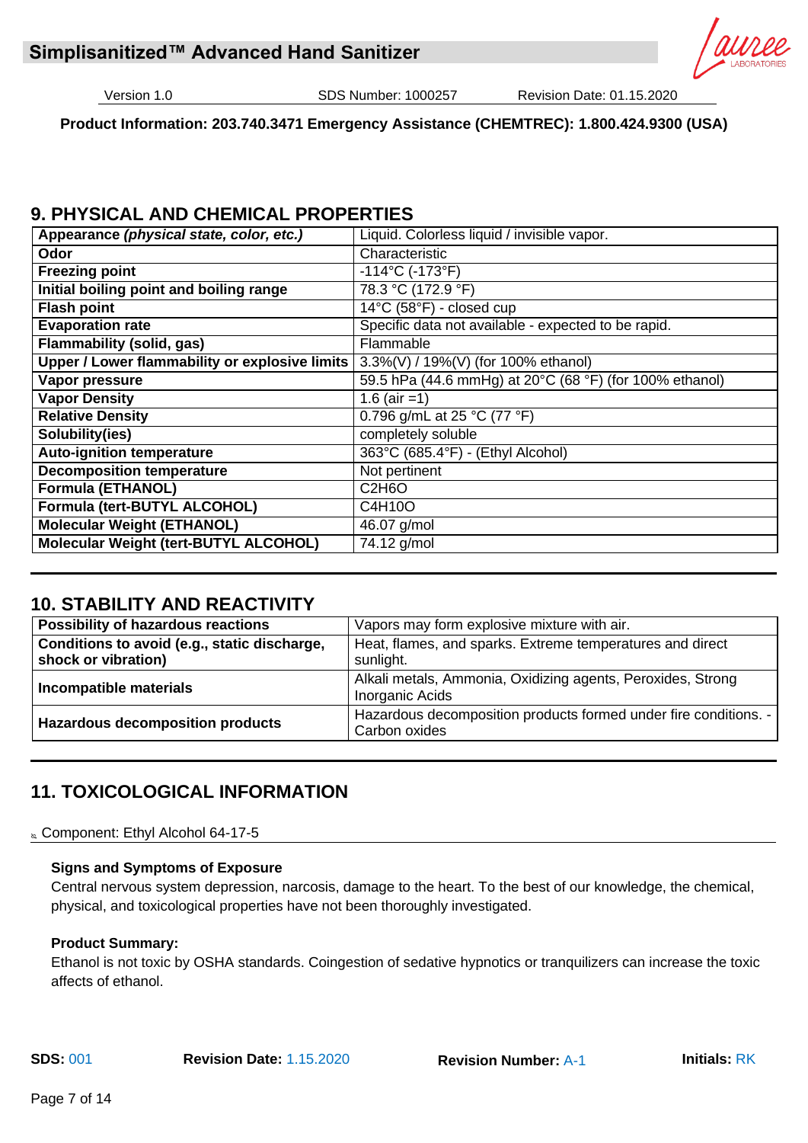

**Product Information: 203.740.3471 Emergency Assistance (CHEMTREC): 1.800.424.9300 (USA)**

# **9. PHYSICAL AND CHEMICAL PROPERTIES**

| Appearance (physical state, color, etc.)       | Liquid. Colorless liquid / invisible vapor.             |
|------------------------------------------------|---------------------------------------------------------|
| Odor                                           | Characteristic                                          |
| <b>Freezing point</b>                          | $-114^{\circ}$ C (-173 $^{\circ}$ F)                    |
| Initial boiling point and boiling range        | 78.3 °C (172.9 °F)                                      |
| <b>Flash point</b>                             | 14°C (58°F) - closed cup                                |
| <b>Evaporation rate</b>                        | Specific data not available - expected to be rapid.     |
| <b>Flammability (solid, gas)</b>               | Flammable                                               |
| Upper / Lower flammability or explosive limits | 3.3%(V) / 19%(V) (for 100% ethanol)                     |
| Vapor pressure                                 | 59.5 hPa (44.6 mmHg) at 20°C (68 °F) (for 100% ethanol) |
| <b>Vapor Density</b>                           | 1.6 (air =1)                                            |
| <b>Relative Density</b>                        | 0.796 g/mL at 25 °C (77 °F)                             |
| Solubility(ies)                                | completely soluble                                      |
| <b>Auto-ignition temperature</b>               | 363°C (685.4°F) - (Ethyl Alcohol)                       |
| <b>Decomposition temperature</b>               | Not pertinent                                           |
| <b>Formula (ETHANOL)</b>                       | C <sub>2</sub> H <sub>6</sub> O                         |
| Formula (tert-BUTYL ALCOHOL)                   | C4H10O                                                  |
| <b>Molecular Weight (ETHANOL)</b>              | 46.07 g/mol                                             |
| Molecular Weight (tert-BUTYL ALCOHOL)          | 74.12 g/mol                                             |

# **10. STABILITY AND REACTIVITY**

| <b>Possibility of hazardous reactions</b>                           | Vapors may form explosive mixture with air.                                           |
|---------------------------------------------------------------------|---------------------------------------------------------------------------------------|
| Conditions to avoid (e.g., static discharge,<br>shock or vibration) | Heat, flames, and sparks. Extreme temperatures and direct<br>sunlight.                |
| Incompatible materials                                              | Alkali metals, Ammonia, Oxidizing agents, Peroxides, Strong<br><b>Inorganic Acids</b> |
| <b>Hazardous decomposition products</b>                             | Hazardous decomposition products formed under fire conditions. -<br>Carbon oxides     |

# **11. TOXICOLOGICAL INFORMATION**

**& Component: Ethyl Alcohol 64-17-5** 

# **Signs and Symptoms of Exposure**

Central nervous system depression, narcosis, damage to the heart. To the best of our knowledge, the chemical, physical, and toxicological properties have not been thoroughly investigated.

# **Product Summary:**

Ethanol is not toxic by OSHA standards. Coingestion of sedative hypnotics or tranquilizers can increase the toxic affects of ethanol.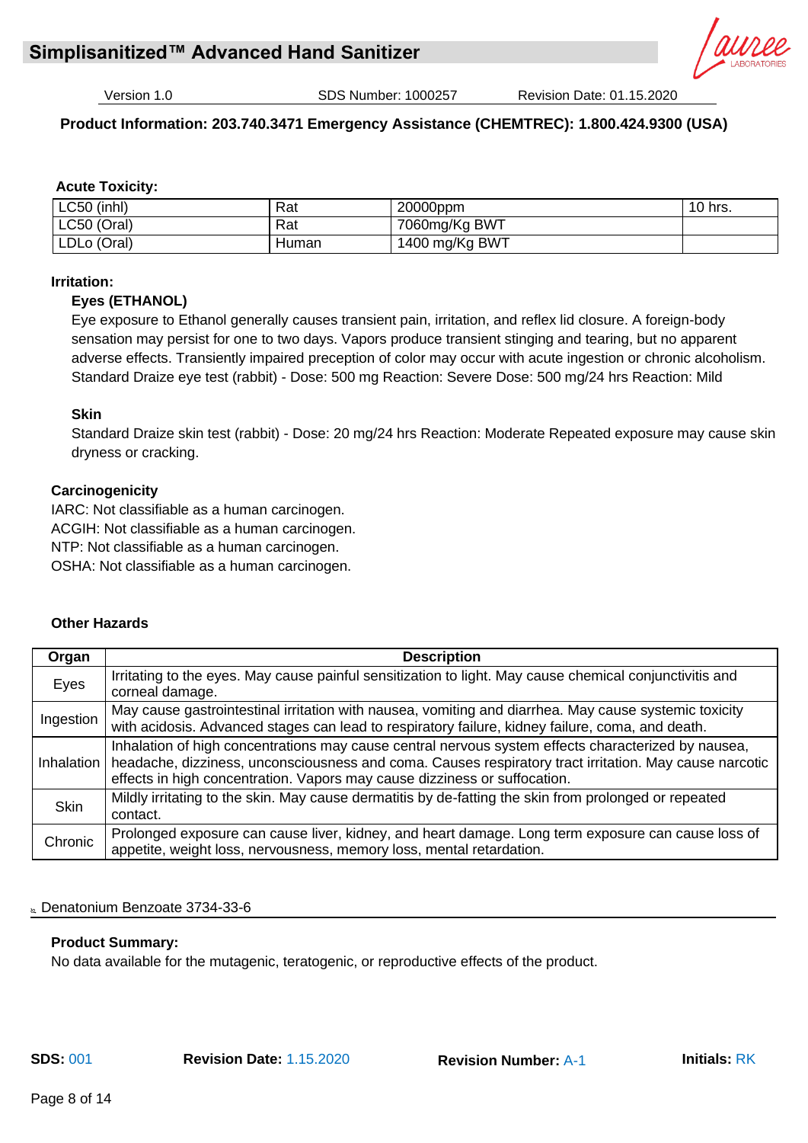

# **Product Information: 203.740.3471 Emergency Assistance (CHEMTREC): 1.800.424.9300 (USA)**

# **Acute Toxicity:**

| LC50 (inhl) | Rat   | 20000ppm       | 10<br>hrs. |
|-------------|-------|----------------|------------|
| LC50 (Oral) | Rat   | 7060mg/Kg BWT  |            |
| LDLo (Oral) | Human | 1400 mg/Kg BWT |            |

#### **Irritation:**

#### **Eyes (ETHANOL)**

Eye exposure to Ethanol generally causes transient pain, irritation, and reflex lid closure. A foreign-body sensation may persist for one to two days. Vapors produce transient stinging and tearing, but no apparent adverse effects. Transiently impaired preception of color may occur with acute ingestion or chronic alcoholism. Standard Draize eye test (rabbit) - Dose: 500 mg Reaction: Severe Dose: 500 mg/24 hrs Reaction: Mild

#### **Skin**

Standard Draize skin test (rabbit) - Dose: 20 mg/24 hrs Reaction: Moderate Repeated exposure may cause skin dryness or cracking.

#### **Carcinogenicity**

IARC: Not classifiable as a human carcinogen. ACGIH: Not classifiable as a human carcinogen. NTP: Not classifiable as a human carcinogen. OSHA: Not classifiable as a human carcinogen.

#### **Other Hazards**

| Organ       | <b>Description</b>                                                                                                                                                                                                                                                                                      |
|-------------|---------------------------------------------------------------------------------------------------------------------------------------------------------------------------------------------------------------------------------------------------------------------------------------------------------|
| Eyes        | Irritating to the eyes. May cause painful sensitization to light. May cause chemical conjunctivitis and<br>corneal damage.                                                                                                                                                                              |
| Ingestion   | May cause gastrointestinal irritation with nausea, vomiting and diarrhea. May cause systemic toxicity<br>with acidosis. Advanced stages can lead to respiratory failure, kidney failure, coma, and death.                                                                                               |
|             | Inhalation of high concentrations may cause central nervous system effects characterized by nausea,<br>Inhalation   headache, dizziness, unconsciousness and coma. Causes respiratory tract irritation. May cause narcotic<br>effects in high concentration. Vapors may cause dizziness or suffocation. |
| <b>Skin</b> | Mildly irritating to the skin. May cause dermatitis by de-fatting the skin from prolonged or repeated<br>contact.                                                                                                                                                                                       |
| Chronic     | Prolonged exposure can cause liver, kidney, and heart damage. Long term exposure can cause loss of<br>appetite, weight loss, nervousness, memory loss, mental retardation.                                                                                                                              |

#### Denatonium Benzoate 3734-33-6

#### **Product Summary:**

No data available for the mutagenic, teratogenic, or reproductive effects of the product.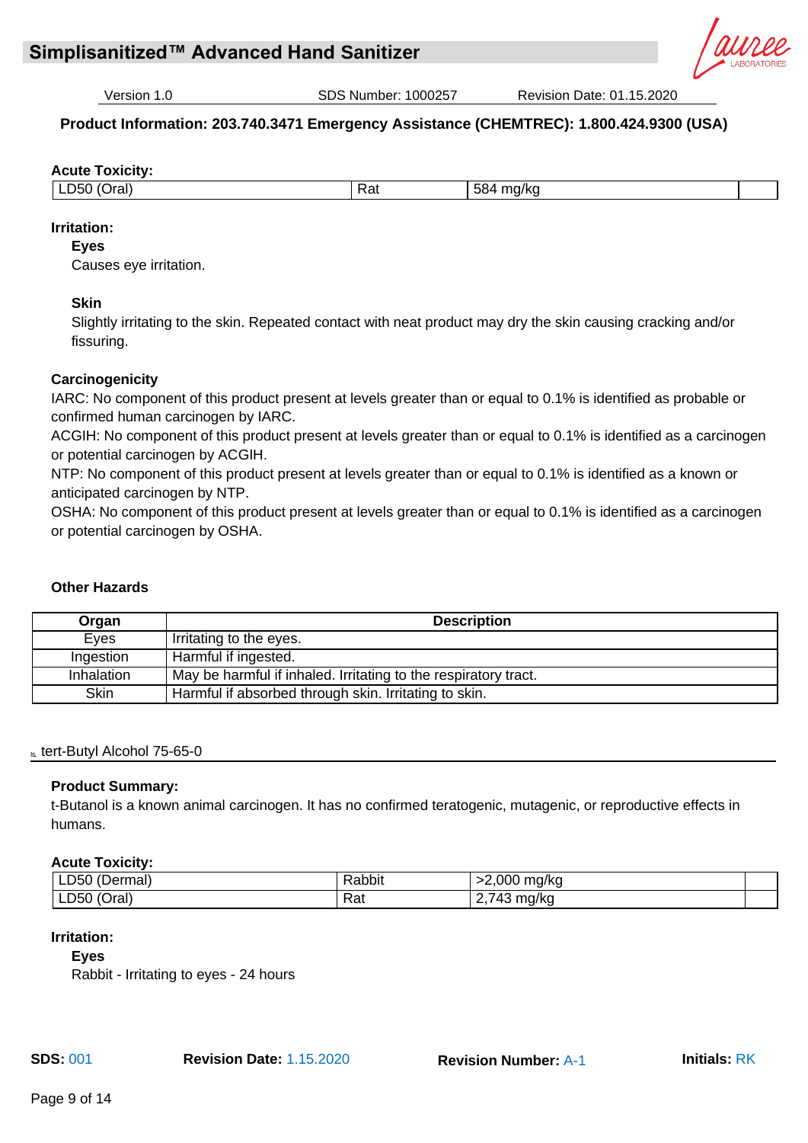

# **Product Information: 203.740.3471 Emergency Assistance (CHEMTREC): 1.800.424.9300 (USA)**

#### **Acute Toxicity:**

| )ral)<br>וריו<br>--- | Rat | $ \sim$<br>ma/ka<br>oo<br>. .<br>. . |  |
|----------------------|-----|--------------------------------------|--|
|                      |     |                                      |  |

# **Irritation:**

#### **Eyes**

Causes eye irritation.

# **Skin**

Slightly irritating to the skin. Repeated contact with neat product may dry the skin causing cracking and/or fissuring.

# **Carcinogenicity**

IARC: No component of this product present at levels greater than or equal to 0.1% is identified as probable or confirmed human carcinogen by IARC.

ACGIH: No component of this product present at levels greater than or equal to 0.1% is identified as a carcinogen or potential carcinogen by ACGIH.

NTP: No component of this product present at levels greater than or equal to 0.1% is identified as a known or anticipated carcinogen by NTP.

OSHA: No component of this product present at levels greater than or equal to 0.1% is identified as a carcinogen or potential carcinogen by OSHA.

# **Other Hazards**

| Organ             | <b>Description</b>                                              |  |
|-------------------|-----------------------------------------------------------------|--|
| Eyes              | Irritating to the eyes.                                         |  |
| Ingestion         | Harmful if ingested.                                            |  |
| <b>Inhalation</b> | May be harmful if inhaled. Irritating to the respiratory tract. |  |
| <b>Skin</b>       | Harmful if absorbed through skin. Irritating to skin.           |  |

#### & tert-Butyl Alcohol 75-65-0

# **Product Summary:**

t-Butanol is a known animal carcinogen. It has no confirmed teratogenic, mutagenic, or reproductive effects in humans.

#### **Acute Toxicity:**

| $\sqrt{2}$<br>LD50<br>(Dermal) | √abbit     | >2,000<br>ma/ka         |  |
|--------------------------------|------------|-------------------------|--|
| LD50<br>'Oral                  | Rai<br>___ | mg/kg<br>rν<br><u>.</u> |  |

#### **Irritation:**

**Eyes**

Rabbit - Irritating to eyes - 24 hours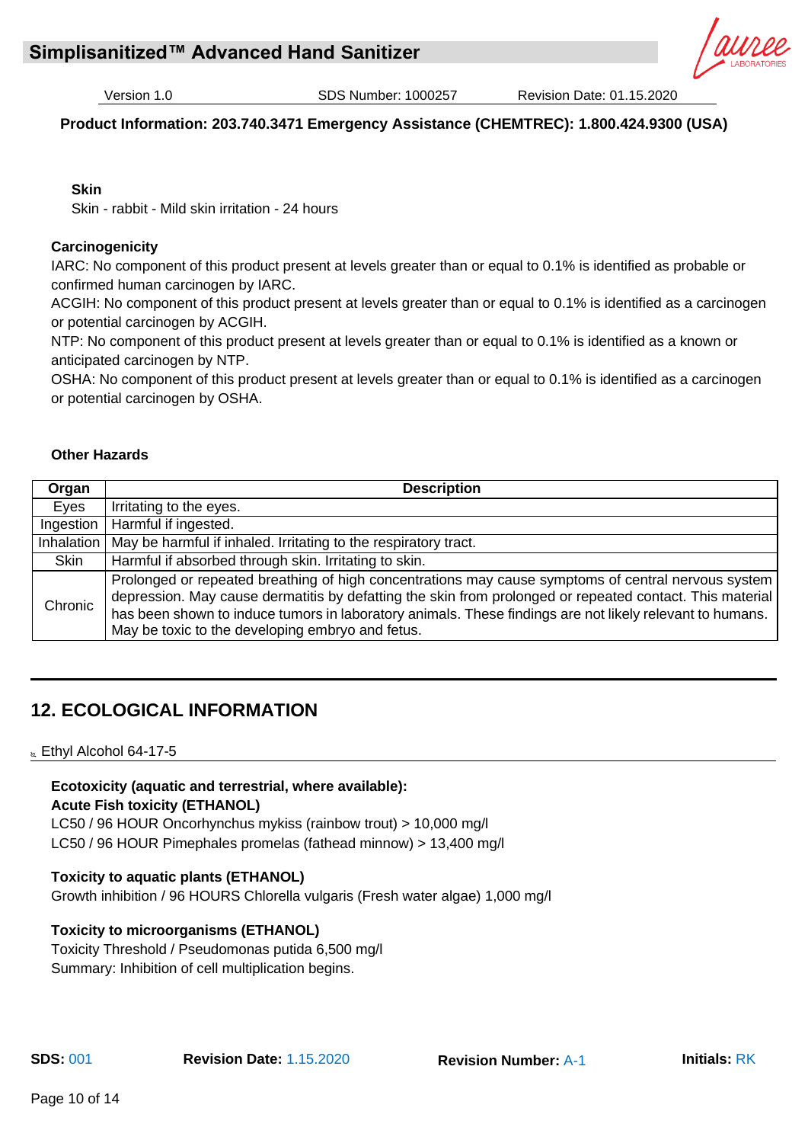# **Product Information: 203.740.3471 Emergency Assistance (CHEMTREC): 1.800.424.9300 (USA)**

#### **Skin**

Skin - rabbit - Mild skin irritation - 24 hours

#### **Carcinogenicity**

IARC: No component of this product present at levels greater than or equal to 0.1% is identified as probable or confirmed human carcinogen by IARC.

ACGIH: No component of this product present at levels greater than or equal to 0.1% is identified as a carcinogen or potential carcinogen by ACGIH.

NTP: No component of this product present at levels greater than or equal to 0.1% is identified as a known or anticipated carcinogen by NTP.

OSHA: No component of this product present at levels greater than or equal to 0.1% is identified as a carcinogen or potential carcinogen by OSHA.

#### **Other Hazards**

| Organ     | <b>Description</b>                                                                                                                                                                                                                                                                                                                                                              |
|-----------|---------------------------------------------------------------------------------------------------------------------------------------------------------------------------------------------------------------------------------------------------------------------------------------------------------------------------------------------------------------------------------|
| Eyes      | Irritating to the eyes.                                                                                                                                                                                                                                                                                                                                                         |
| Ingestion | Harmful if ingested.                                                                                                                                                                                                                                                                                                                                                            |
|           | Inhalation   May be harmful if inhaled. Irritating to the respiratory tract.                                                                                                                                                                                                                                                                                                    |
| Skin      | Harmful if absorbed through skin. Irritating to skin.                                                                                                                                                                                                                                                                                                                           |
| Chronic   | Prolonged or repeated breathing of high concentrations may cause symptoms of central nervous system<br>depression. May cause dermatitis by defatting the skin from prolonged or repeated contact. This material<br>has been shown to induce tumors in laboratory animals. These findings are not likely relevant to humans.<br>May be toxic to the developing embryo and fetus. |

# **12. ECOLOGICAL INFORMATION**

& Ethyl Alcohol 64-17-5

# **Ecotoxicity (aquatic and terrestrial, where available):**

**Acute Fish toxicity (ETHANOL)**

LC50 / 96 HOUR Oncorhynchus mykiss (rainbow trout) > 10,000 mg/l LC50 / 96 HOUR Pimephales promelas (fathead minnow) > 13,400 mg/l

# **Toxicity to aquatic plants (ETHANOL)**

Growth inhibition / 96 HOURS Chlorella vulgaris (Fresh water algae) 1,000 mg/l

# **Toxicity to microorganisms (ETHANOL)**

Toxicity Threshold / Pseudomonas putida 6,500 mg/l Summary: Inhibition of cell multiplication begins.

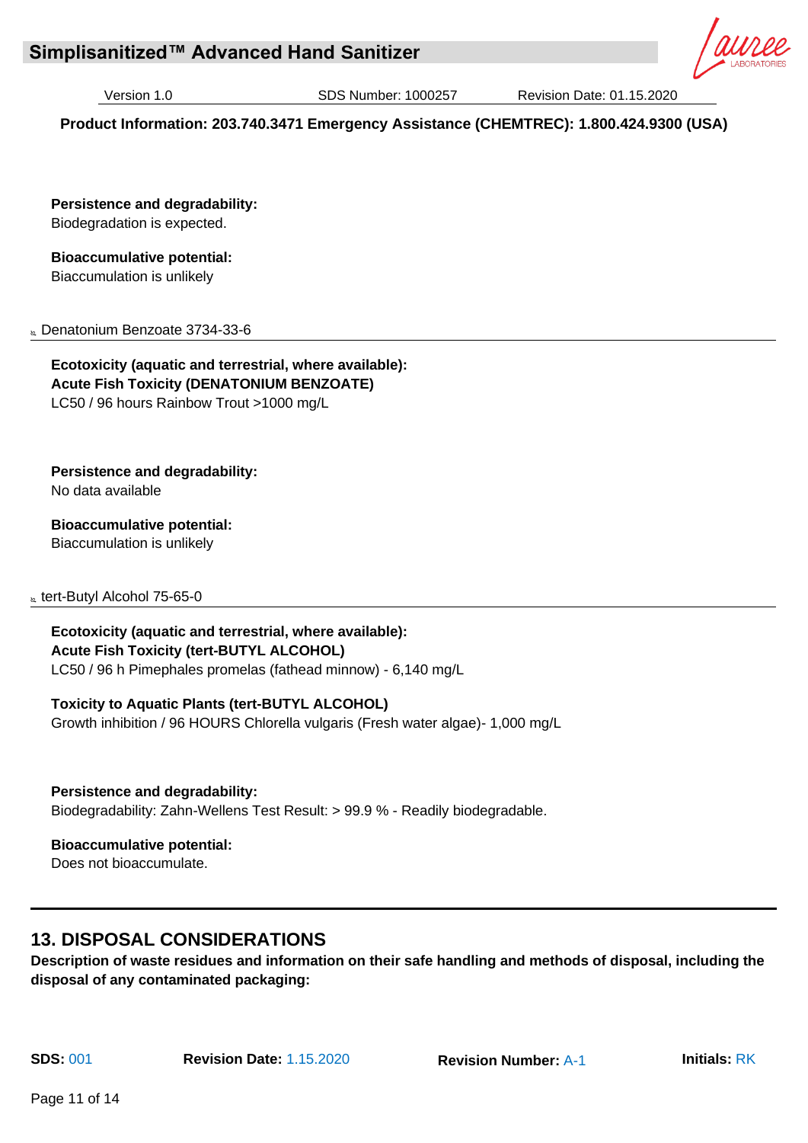# **Simplisanitized™ Advanced Hand Sanitizer**

Version 1.0 SDS Number: 1000257 Revision Date: 01.15.2020

**Product Information: 203.740.3471 Emergency Assistance (CHEMTREC): 1.800.424.9300 (USA)**

**Persistence and degradability:** Biodegradation is expected.

**Bioaccumulative potential:**

Biaccumulation is unlikely

**Lenatonium Benzoate 3734-33-6** 

**Ecotoxicity (aquatic and terrestrial, where available): Acute Fish Toxicity (DENATONIUM BENZOATE)**  LC50 / 96 hours Rainbow Trout >1000 mg/L

**Persistence and degradability:**

No data available

**Bioaccumulative potential:**

Biaccumulation is unlikely

**k** tert-Butyl Alcohol 75-65-0

**Ecotoxicity (aquatic and terrestrial, where available): Acute Fish Toxicity (tert-BUTYL ALCOHOL)** LC50 / 96 h Pimephales promelas (fathead minnow) - 6,140 mg/L

# **Toxicity to Aquatic Plants (tert-BUTYL ALCOHOL)**

Growth inhibition / 96 HOURS Chlorella vulgaris (Fresh water algae)- 1,000 mg/L

**Persistence and degradability:**

Biodegradability: Zahn-Wellens Test Result: > 99.9 % - Readily biodegradable.

**Bioaccumulative potential:**

Does not bioaccumulate.

# **13. DISPOSAL CONSIDERATIONS**

**Description of waste residues and information on their safe handling and methods of disposal, including the disposal of any contaminated packaging:**



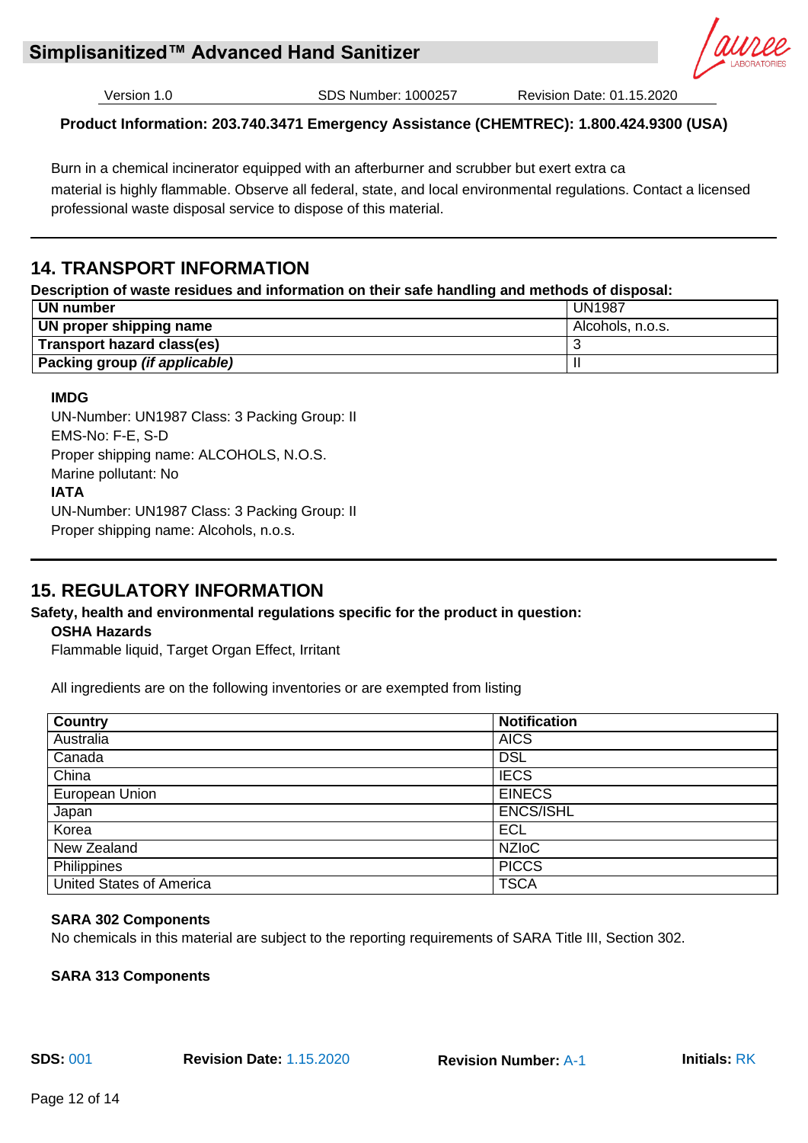

# **Product Information: 203.740.3471 Emergency Assistance (CHEMTREC): 1.800.424.9300 (USA)**

Burn in a chemical incinerator equipped with an afterburner and scrubber but exert extra ca material is highly flammable. Observe all federal, state, and local environmental regulations. Contact a licensed professional waste disposal service to dispose of this material.

# **14. TRANSPORT INFORMATION**

# **Description of waste residues and information on their safe handling and methods of disposal:**

| ∣ UN number                          | <b>UN1987</b>    |
|--------------------------------------|------------------|
| UN proper shipping name              | Alcohols, n.o.s. |
| Transport hazard class(es)           |                  |
| Packing group <i>(if applicable)</i> |                  |

# **IMDG**

UN-Number: UN1987 Class: 3 Packing Group: II EMS-No: F-E, S-D Proper shipping name: ALCOHOLS, N.O.S. Marine pollutant: No **IATA** UN-Number: UN1987 Class: 3 Packing Group: II Proper shipping name: Alcohols, n.o.s.

# **15. REGULATORY INFORMATION**

# **Safety, health and environmental regulations specific for the product in question:**

# **OSHA Hazards**

Flammable liquid, Target Organ Effect, Irritant

All ingredients are on the following inventories or are exempted from listing

| <b>Country</b>           | <b>Notification</b> |  |
|--------------------------|---------------------|--|
| Australia                | <b>AICS</b>         |  |
| Canada                   | <b>DSL</b>          |  |
| China                    | <b>IECS</b>         |  |
| European Union           | <b>EINECS</b>       |  |
| Japan                    | <b>ENCS/ISHL</b>    |  |
| Korea                    | <b>ECL</b>          |  |
| New Zealand              | <b>NZIOC</b>        |  |
| Philippines              | <b>PICCS</b>        |  |
| United States of America | <b>TSCA</b>         |  |

# **SARA 302 Components**

No chemicals in this material are subject to the reporting requirements of SARA Title III, Section 302.

**SARA 313 Components**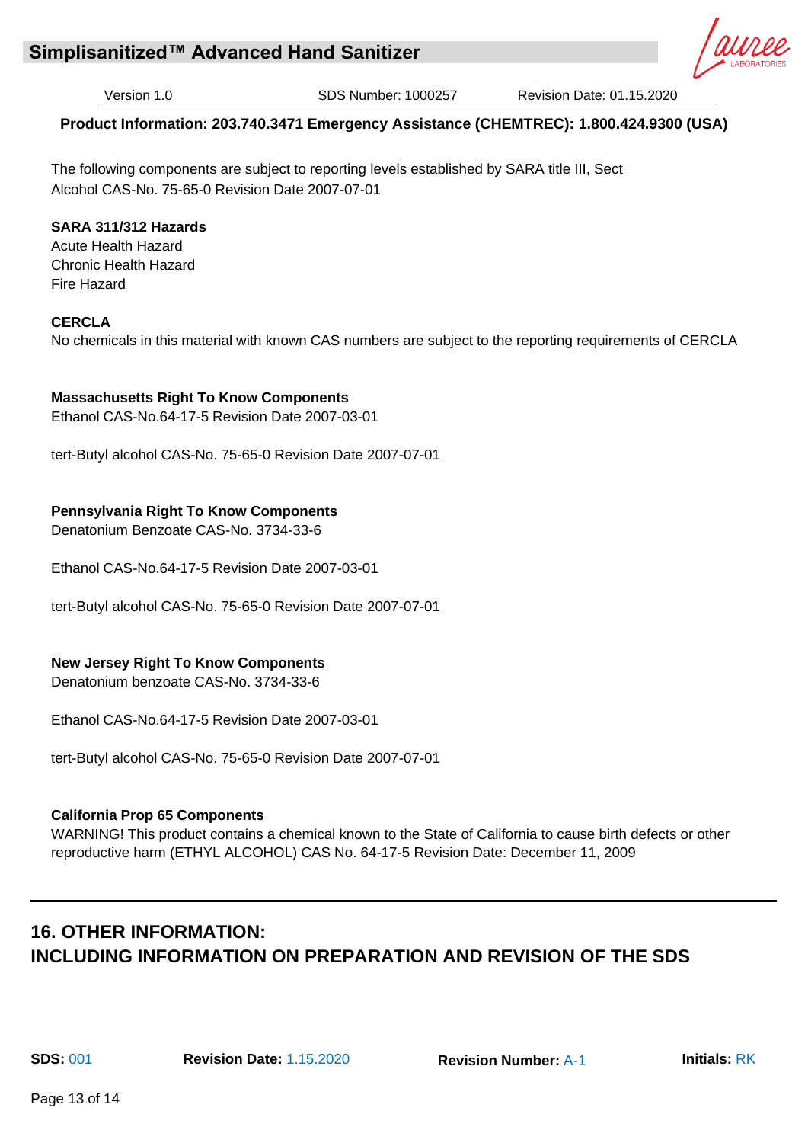

# **Product Information: 203.740.3471 Emergency Assistance (CHEMTREC): 1.800.424.9300 (USA)**

The following components are subject to reporting levels established by SARA title III, Sect Alcohol CAS-No. 75-65-0 Revision Date 2007-07-01

# **SARA 311/312 Hazards**

Acute Health Hazard Chronic Health Hazard Fire Hazard

# **CERCLA**

No chemicals in this material with known CAS numbers are subject to the reporting requirements of CERCLA

# **Massachusetts Right To Know Components**

Ethanol CAS-No.64-17-5 Revision Date 2007-03-01

tert-Butyl alcohol CAS-No. 75-65-0 Revision Date 2007-07-01

# **Pennsylvania Right To Know Components**

Denatonium Benzoate CAS-No. 3734-33-6

Ethanol CAS-No.64-17-5 Revision Date 2007-03-01

tert-Butyl alcohol CAS-No. 75-65-0 Revision Date 2007-07-01

# **New Jersey Right To Know Components**

Denatonium benzoate CAS-No. 3734-33-6

Ethanol CAS-No.64-17-5 Revision Date 2007-03-01

tert-Butyl alcohol CAS-No. 75-65-0 Revision Date 2007-07-01

# **California Prop 65 Components**

WARNING! This product contains a chemical known to the State of California to cause birth defects or other reproductive harm (ETHYL ALCOHOL) CAS No. 64-17-5 Revision Date: December 11, 2009

# **16. OTHER INFORMATION: INCLUDING INFORMATION ON PREPARATION AND REVISION OF THE SDS**